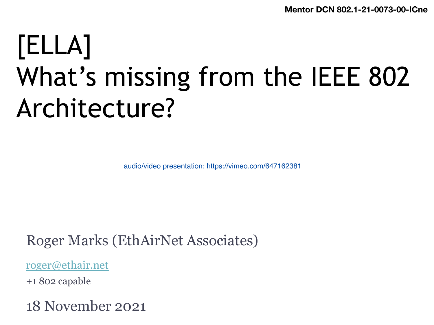**[Ment](https://vimeo.com/647162381)or DCN 802.1-21** 

# [ELLA] What's missing from the IEEE Architecture?

audio/video presentation: https://vimeo.com/647162381

Roger Marks (EthAirNet Associates)

roger@ethair.net

+1 802 capable

18 November 2021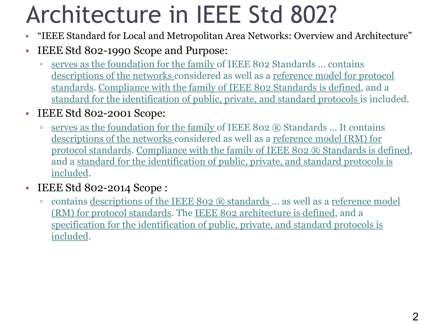### Architecture in IEEE Std 802?

- "IEEE Standard for Local and Metropolitan Area Networks: Overview and Architecture"
- IEEE Std 802-1990 Scope and Purpose:
	- □ serves as the foundation for the family of IEEE 802 Standards ... contains descriptions of the networks considered as well as a reference model for protocol standards. Compliance with the family of IEEE 802 Standards is defined, and a standard for the identification of public, private, and standard protocols is included.
- IEEE Std 802-2001 Scope:
	- serves as the foundation for the family of IEEE 802 ® Standards ... It contains descriptions of the networks considered as well as a reference model (RM) for protocol standards. Compliance with the family of IEEE 802 ® Standards is defined, and a standard for the identification of public, private, and standard protocols is included.
- IEEE Std 802-2014 Scope:
	- contains descriptions of the IEEE 802 ® standards ... as well as a reference model (RM) for protocol standards. The IEEE 802 architecture is defined, and a specification for the identification of public, private, and standard protocols is included.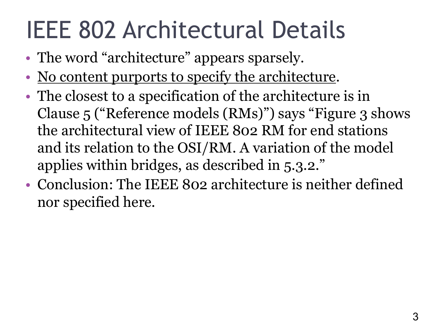# IEEE 802 Architectural Details

- The word "architecture" appears sparsely.
- No content purports to specify the architecture.
- The closest to a specification of the architecture is in Clause 5 ("Reference models (RMs)") says "Figure 3 shows the architectural view of IEEE 802 RM for end stations and its relation to the OSI/RM. A variation of the model applies within bridges, as described in 5.3.2."
- Conclusion: The IEEE 802 architecture is neither defined nor specified here.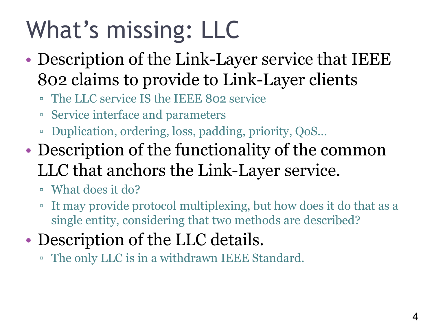# What's missing: LLC

- Description of the Link-Layer service that IEEE 802 claims to provide to Link-Layer clients
	- The LLC service IS the IEEE 802 service
	- Service interface and parameters
	- Duplication, ordering, loss, padding, priority, QoS…
- Description of the functionality of the common LLC that anchors the Link-Layer service.
	- What does it do?
	- It may provide protocol multiplexing, but how does it do that as a single entity, considering that two methods are described?
- Description of the LLC details.
	- The only LLC is in a withdrawn IEEE Standard.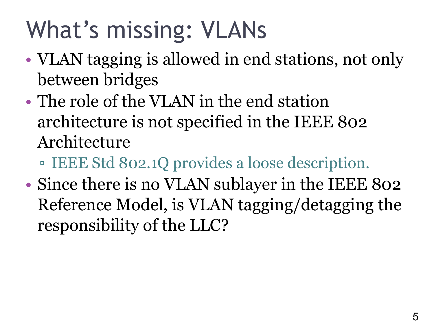# What's missing: VLANs

- VLAN tagging is allowed in end stations, not only between bridges
- The role of the VLAN in the end station architecture is not specified in the IEEE 802 Architecture
	- IEEE Std 802.1Q provides a loose description.
- Since there is no VLAN sublayer in the IEEE 802 Reference Model, is VLAN tagging/detagging the responsibility of the LLC?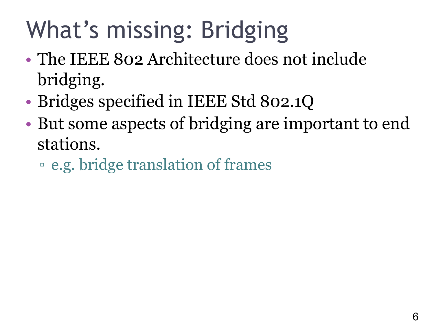# What's missing: Bridging

- The IEEE 802 Architecture does not include bridging.
- Bridges specified in IEEE Std 802.1Q
- But some aspects of bridging are important to end stations.
	- e.g. bridge translation of frames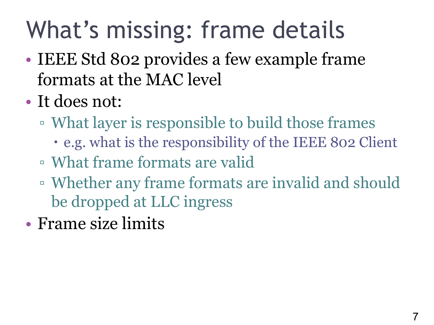# What's missing: frame details

- IEEE Std 802 provides a few example frame formats at the MAC level
- It does not:
	- What layer is responsible to build those frames
		- e.g. what is the responsibility of the IEEE 802 Client
	- What frame formats are valid
	- Whether any frame formats are invalid and should be dropped at LLC ingress
- Frame size limits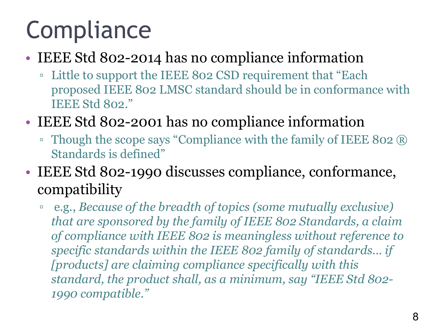# **Compliance**

#### • IEEE Std 802-2014 has no compliance information

- Little to support the IEEE 802 CSD requirement that "Each proposed IEEE 802 LMSC standard should be in conformance with IEEE Std 802."
- IEEE Std 802-2001 has no compliance information
	- Though the scope says "Compliance with the family of IEEE 802 ® Standards is defined"
- IEEE Std 802-1990 discusses compliance, conformance, compatibility
	- e.g., *Because of the breadth of topics (some mutually exclusive) that are sponsored by the family of IEEE 802 Standards, a claim of compliance with IEEE 802 is meaningless without reference to specific standards within the IEEE 802 family of standards… if [products] are claiming compliance specifically with this standard, the product shall, as a minimum, say "IEEE Std 802- 1990 compatible."*